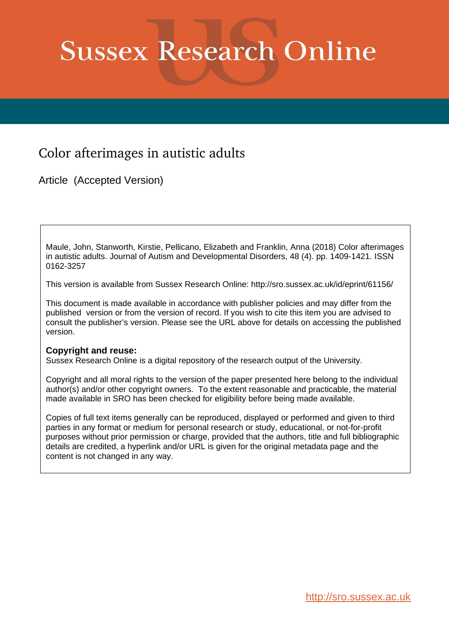# **Sussex Research Online**

# Color afterimages in autistic adults

Article (Accepted Version)

Maule, John, Stanworth, Kirstie, Pellicano, Elizabeth and Franklin, Anna (2018) Color afterimages in autistic adults. Journal of Autism and Developmental Disorders, 48 (4). pp. 1409-1421. ISSN 0162-3257

This version is available from Sussex Research Online: http://sro.sussex.ac.uk/id/eprint/61156/

This document is made available in accordance with publisher policies and may differ from the published version or from the version of record. If you wish to cite this item you are advised to consult the publisher's version. Please see the URL above for details on accessing the published version.

# **Copyright and reuse:**

Sussex Research Online is a digital repository of the research output of the University.

Copyright and all moral rights to the version of the paper presented here belong to the individual author(s) and/or other copyright owners. To the extent reasonable and practicable, the material made available in SRO has been checked for eligibility before being made available.

Copies of full text items generally can be reproduced, displayed or performed and given to third parties in any format or medium for personal research or study, educational, or not-for-profit purposes without prior permission or charge, provided that the authors, title and full bibliographic details are credited, a hyperlink and/or URL is given for the original metadata page and the content is not changed in any way.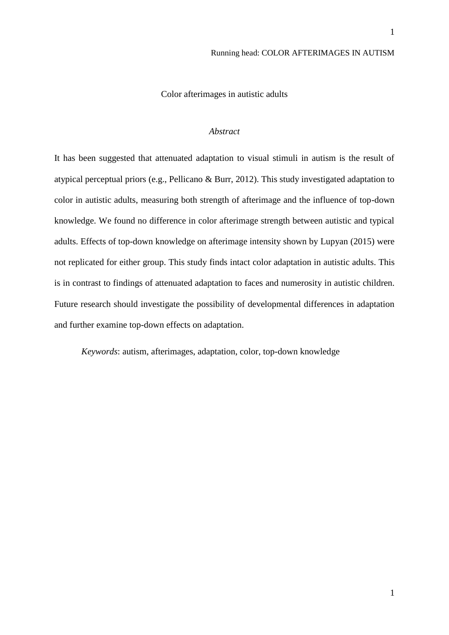Color afterimages in autistic adults

# *Abstract*

It has been suggested that attenuated adaptation to visual stimuli in autism is the result of atypical perceptual priors (e.g., Pellicano & Burr, 2012). This study investigated adaptation to color in autistic adults, measuring both strength of afterimage and the influence of top-down knowledge. We found no difference in color afterimage strength between autistic and typical adults. Effects of top-down knowledge on afterimage intensity shown by Lupyan (2015) were not replicated for either group. This study finds intact color adaptation in autistic adults. This is in contrast to findings of attenuated adaptation to faces and numerosity in autistic children. Future research should investigate the possibility of developmental differences in adaptation and further examine top-down effects on adaptation.

*Keywords*: autism, afterimages, adaptation, color, top-down knowledge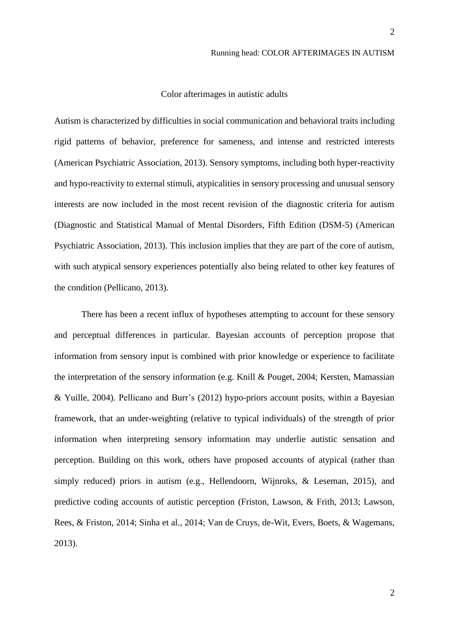# Color afterimages in autistic adults

Autism is characterized by difficulties in social communication and behavioral traits including rigid patterns of behavior, preference for sameness, and intense and restricted interests (American Psychiatric Association, 2013). Sensory symptoms, including both hyper-reactivity and hypo-reactivity to external stimuli, atypicalities in sensory processing and unusual sensory interests are now included in the most recent revision of the diagnostic criteria for autism (Diagnostic and Statistical Manual of Mental Disorders, Fifth Edition (DSM-5) (American Psychiatric Association, 2013). This inclusion implies that they are part of the core of autism, with such atypical sensory experiences potentially also being related to other key features of the condition (Pellicano, 2013).

There has been a recent influx of hypotheses attempting to account for these sensory and perceptual differences in particular. Bayesian accounts of perception propose that information from sensory input is combined with prior knowledge or experience to facilitate the interpretation of the sensory information (e.g. Knill & Pouget, 2004; Kersten, Mamassian & Yuille, 2004). Pellicano and Burr's (2012) hypo-priors account posits, within a Bayesian framework, that an under-weighting (relative to typical individuals) of the strength of prior information when interpreting sensory information may underlie autistic sensation and perception. Building on this work, others have proposed accounts of atypical (rather than simply reduced) priors in autism (e.g., Hellendoorn, Wijnroks, & Leseman, 2015), and predictive coding accounts of autistic perception (Friston, Lawson, & Frith, 2013; Lawson, Rees, & Friston, 2014; Sinha et al., 2014; Van de Cruys, de-Wit, Evers, Boets, & Wagemans, 2013).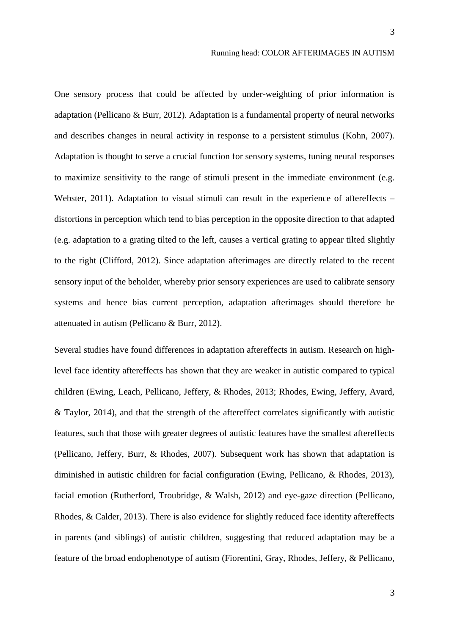One sensory process that could be affected by under-weighting of prior information is adaptation (Pellicano & Burr, 2012). Adaptation is a fundamental property of neural networks and describes changes in neural activity in response to a persistent stimulus (Kohn, 2007). Adaptation is thought to serve a crucial function for sensory systems, tuning neural responses to maximize sensitivity to the range of stimuli present in the immediate environment (e.g. Webster, 2011). Adaptation to visual stimuli can result in the experience of aftereffects – distortions in perception which tend to bias perception in the opposite direction to that adapted (e.g. adaptation to a grating tilted to the left, causes a vertical grating to appear tilted slightly to the right (Clifford, 2012). Since adaptation afterimages are directly related to the recent sensory input of the beholder, whereby prior sensory experiences are used to calibrate sensory systems and hence bias current perception, adaptation afterimages should therefore be attenuated in autism (Pellicano & Burr, 2012).

Several studies have found differences in adaptation aftereffects in autism. Research on highlevel face identity aftereffects has shown that they are weaker in autistic compared to typical children (Ewing, Leach, Pellicano, Jeffery, & Rhodes, 2013; Rhodes, Ewing, Jeffery, Avard, & Taylor, 2014), and that the strength of the aftereffect correlates significantly with autistic features, such that those with greater degrees of autistic features have the smallest aftereffects (Pellicano, Jeffery, Burr, & Rhodes, 2007). Subsequent work has shown that adaptation is diminished in autistic children for facial configuration (Ewing, Pellicano, & Rhodes, 2013), facial emotion (Rutherford, Troubridge, & Walsh, 2012) and eye-gaze direction (Pellicano, Rhodes, & Calder, 2013). There is also evidence for slightly reduced face identity aftereffects in parents (and siblings) of autistic children, suggesting that reduced adaptation may be a feature of the broad endophenotype of autism (Fiorentini, Gray, Rhodes, Jeffery, & Pellicano,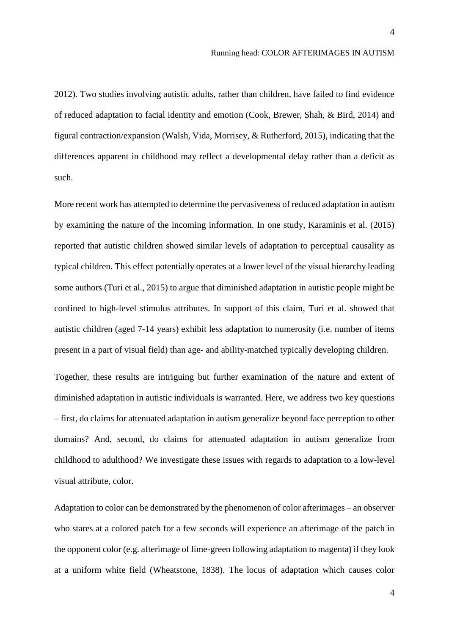2012). Two studies involving autistic adults, rather than children, have failed to find evidence of reduced adaptation to facial identity and emotion (Cook, Brewer, Shah, & Bird, 2014) and figural contraction/expansion (Walsh, Vida, Morrisey, & Rutherford, 2015), indicating that the differences apparent in childhood may reflect a developmental delay rather than a deficit as such.

More recent work has attempted to determine the pervasiveness of reduced adaptation in autism by examining the nature of the incoming information. In one study, Karaminis et al. (2015) reported that autistic children showed similar levels of adaptation to perceptual causality as typical children. This effect potentially operates at a lower level of the visual hierarchy leading some authors (Turi et al., 2015) to argue that diminished adaptation in autistic people might be confined to high-level stimulus attributes. In support of this claim, Turi et al. showed that autistic children (aged 7-14 years) exhibit less adaptation to numerosity (i.e. number of items present in a part of visual field) than age- and ability-matched typically developing children.

Together, these results are intriguing but further examination of the nature and extent of diminished adaptation in autistic individuals is warranted. Here, we address two key questions – first, do claims for attenuated adaptation in autism generalize beyond face perception to other domains? And, second, do claims for attenuated adaptation in autism generalize from childhood to adulthood? We investigate these issues with regards to adaptation to a low-level visual attribute, color.

Adaptation to color can be demonstrated by the phenomenon of color afterimages – an observer who stares at a colored patch for a few seconds will experience an afterimage of the patch in the opponent color (e.g. afterimage of lime-green following adaptation to magenta) if they look at a uniform white field (Wheatstone, 1838). The locus of adaptation which causes color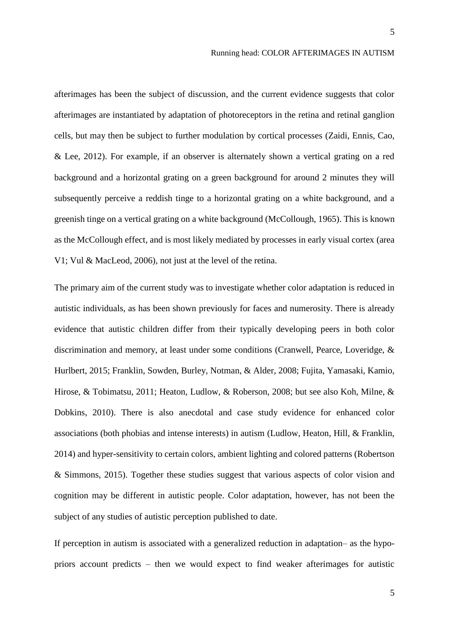afterimages has been the subject of discussion, and the current evidence suggests that color afterimages are instantiated by adaptation of photoreceptors in the retina and retinal ganglion cells, but may then be subject to further modulation by cortical processes (Zaidi, Ennis, Cao, & Lee, 2012). For example, if an observer is alternately shown a vertical grating on a red background and a horizontal grating on a green background for around 2 minutes they will subsequently perceive a reddish tinge to a horizontal grating on a white background, and a greenish tinge on a vertical grating on a white background (McCollough, 1965). This is known as the McCollough effect, and is most likely mediated by processes in early visual cortex (area V1; Vul & MacLeod, 2006), not just at the level of the retina.

The primary aim of the current study was to investigate whether color adaptation is reduced in autistic individuals, as has been shown previously for faces and numerosity. There is already evidence that autistic children differ from their typically developing peers in both color discrimination and memory, at least under some conditions (Cranwell, Pearce, Loveridge, & Hurlbert, 2015; Franklin, Sowden, Burley, Notman, & Alder, 2008; Fujita, Yamasaki, Kamio, Hirose, & Tobimatsu, 2011; Heaton, Ludlow, & Roberson, 2008; but see also Koh, Milne, & Dobkins, 2010). There is also anecdotal and case study evidence for enhanced color associations (both phobias and intense interests) in autism (Ludlow, Heaton, Hill, & Franklin, 2014) and hyper-sensitivity to certain colors, ambient lighting and colored patterns (Robertson & Simmons, 2015). Together these studies suggest that various aspects of color vision and cognition may be different in autistic people. Color adaptation, however, has not been the subject of any studies of autistic perception published to date.

If perception in autism is associated with a generalized reduction in adaptation– as the hypopriors account predicts – then we would expect to find weaker afterimages for autistic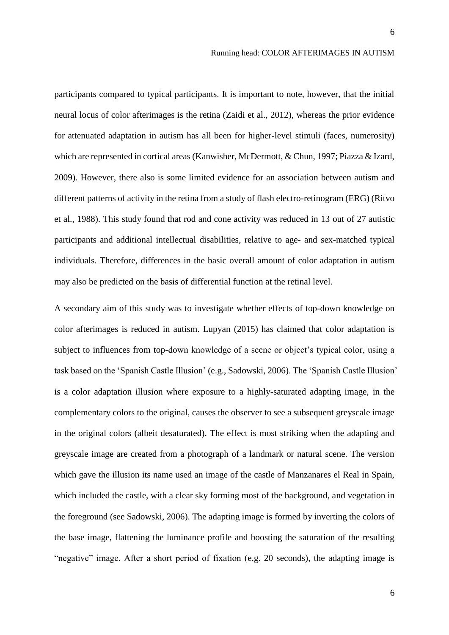participants compared to typical participants. It is important to note, however, that the initial neural locus of color afterimages is the retina (Zaidi et al., 2012), whereas the prior evidence for attenuated adaptation in autism has all been for higher-level stimuli (faces, numerosity) which are represented in cortical areas (Kanwisher, McDermott, & Chun, 1997; Piazza & Izard, 2009). However, there also is some limited evidence for an association between autism and different patterns of activity in the retina from a study of flash electro-retinogram (ERG) (Ritvo et al., 1988). This study found that rod and cone activity was reduced in 13 out of 27 autistic participants and additional intellectual disabilities, relative to age- and sex-matched typical individuals. Therefore, differences in the basic overall amount of color adaptation in autism may also be predicted on the basis of differential function at the retinal level.

A secondary aim of this study was to investigate whether effects of top-down knowledge on color afterimages is reduced in autism. Lupyan (2015) has claimed that color adaptation is subject to influences from top-down knowledge of a scene or object's typical color, using a task based on the 'Spanish Castle Illusion' (e.g., Sadowski, 2006). The 'Spanish Castle Illusion' is a color adaptation illusion where exposure to a highly-saturated adapting image, in the complementary colors to the original, causes the observer to see a subsequent greyscale image in the original colors (albeit desaturated). The effect is most striking when the adapting and greyscale image are created from a photograph of a landmark or natural scene. The version which gave the illusion its name used an image of the castle of Manzanares el Real in Spain, which included the castle, with a clear sky forming most of the background, and vegetation in the foreground (see Sadowski, 2006). The adapting image is formed by inverting the colors of the base image, flattening the luminance profile and boosting the saturation of the resulting "negative" image. After a short period of fixation (e.g. 20 seconds), the adapting image is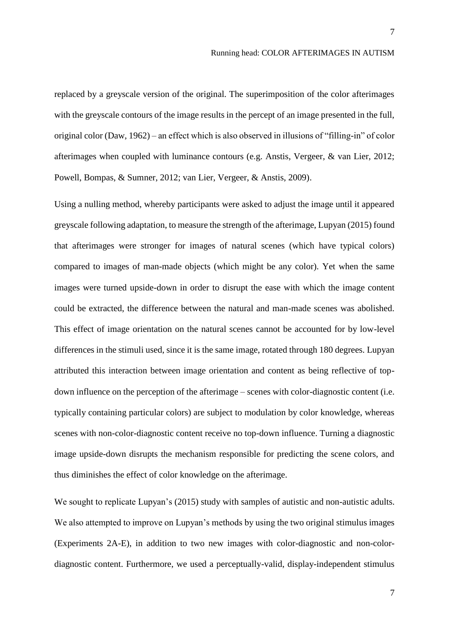replaced by a greyscale version of the original. The superimposition of the color afterimages with the greyscale contours of the image results in the percept of an image presented in the full, original color (Daw, 1962) – an effect which is also observed in illusions of "filling-in" of color afterimages when coupled with luminance contours (e.g. Anstis, Vergeer, & van Lier, 2012; Powell, Bompas, & Sumner, 2012; van Lier, Vergeer, & Anstis, 2009).

Using a nulling method, whereby participants were asked to adjust the image until it appeared greyscale following adaptation, to measure the strength of the afterimage, Lupyan (2015) found that afterimages were stronger for images of natural scenes (which have typical colors) compared to images of man-made objects (which might be any color). Yet when the same images were turned upside-down in order to disrupt the ease with which the image content could be extracted, the difference between the natural and man-made scenes was abolished. This effect of image orientation on the natural scenes cannot be accounted for by low-level differences in the stimuli used, since it is the same image, rotated through 180 degrees. Lupyan attributed this interaction between image orientation and content as being reflective of topdown influence on the perception of the afterimage – scenes with color-diagnostic content (i.e. typically containing particular colors) are subject to modulation by color knowledge, whereas scenes with non-color-diagnostic content receive no top-down influence. Turning a diagnostic image upside-down disrupts the mechanism responsible for predicting the scene colors, and thus diminishes the effect of color knowledge on the afterimage.

We sought to replicate Lupyan's (2015) study with samples of autistic and non-autistic adults. We also attempted to improve on Lupyan's methods by using the two original stimulus images (Experiments 2A-E), in addition to two new images with color-diagnostic and non-colordiagnostic content. Furthermore, we used a perceptually-valid, display-independent stimulus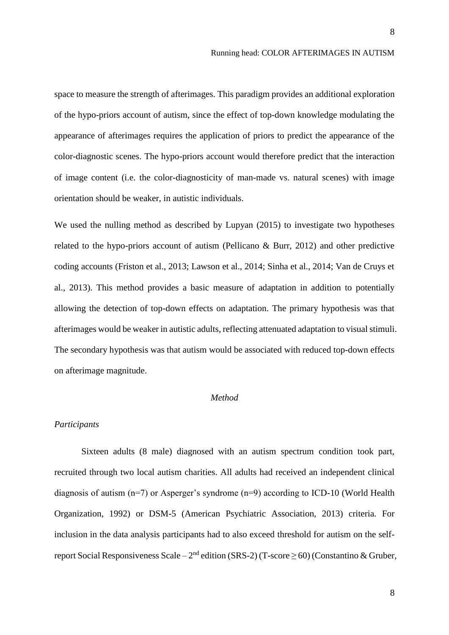space to measure the strength of afterimages. This paradigm provides an additional exploration of the hypo-priors account of autism, since the effect of top-down knowledge modulating the appearance of afterimages requires the application of priors to predict the appearance of the color-diagnostic scenes. The hypo-priors account would therefore predict that the interaction of image content (i.e. the color-diagnosticity of man-made vs. natural scenes) with image orientation should be weaker, in autistic individuals.

We used the nulling method as described by Lupyan (2015) to investigate two hypotheses related to the hypo-priors account of autism (Pellicano & Burr, 2012) and other predictive coding accounts (Friston et al., 2013; Lawson et al., 2014; Sinha et al., 2014; Van de Cruys et al., 2013). This method provides a basic measure of adaptation in addition to potentially allowing the detection of top-down effects on adaptation. The primary hypothesis was that afterimages would be weaker in autistic adults, reflecting attenuated adaptation to visual stimuli. The secondary hypothesis was that autism would be associated with reduced top-down effects on afterimage magnitude.

#### *Method*

# *Participants*

Sixteen adults (8 male) diagnosed with an autism spectrum condition took part, recruited through two local autism charities. All adults had received an independent clinical diagnosis of autism (n=7) or Asperger's syndrome (n=9) according to ICD-10 (World Health Organization, 1992) or DSM-5 (American Psychiatric Association, 2013) criteria. For inclusion in the data analysis participants had to also exceed threshold for autism on the selfreport Social Responsiveness Scale –  $2<sup>nd</sup>$  edition (SRS-2) (T-score  $\geq$  60) (Constantino & Gruber,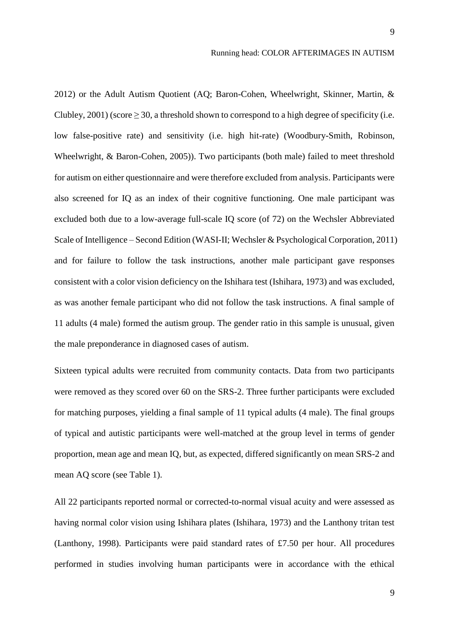2012) or the Adult Autism Quotient (AQ; Baron-Cohen, Wheelwright, Skinner, Martin, & Clubley, 2001) (score  $\geq$  30, a threshold shown to correspond to a high degree of specificity (i.e. low false-positive rate) and sensitivity (i.e. high hit-rate) (Woodbury-Smith, Robinson, Wheelwright, & Baron-Cohen, 2005)). Two participants (both male) failed to meet threshold for autism on either questionnaire and were therefore excluded from analysis. Participants were also screened for IQ as an index of their cognitive functioning. One male participant was excluded both due to a low-average full-scale IQ score (of 72) on the Wechsler Abbreviated Scale of Intelligence – Second Edition (WASI-II; Wechsler & Psychological Corporation, 2011) and for failure to follow the task instructions, another male participant gave responses consistent with a color vision deficiency on the Ishihara test (Ishihara, 1973) and was excluded, as was another female participant who did not follow the task instructions. A final sample of 11 adults (4 male) formed the autism group. The gender ratio in this sample is unusual, given the male preponderance in diagnosed cases of autism.

Sixteen typical adults were recruited from community contacts. Data from two participants were removed as they scored over 60 on the SRS-2. Three further participants were excluded for matching purposes, yielding a final sample of 11 typical adults (4 male). The final groups of typical and autistic participants were well-matched at the group level in terms of gender proportion, mean age and mean IQ, but, as expected, differed significantly on mean SRS-2 and mean AQ score (see Table 1).

All 22 participants reported normal or corrected-to-normal visual acuity and were assessed as having normal color vision using Ishihara plates (Ishihara, 1973) and the Lanthony tritan test (Lanthony, 1998). Participants were paid standard rates of £7.50 per hour. All procedures performed in studies involving human participants were in accordance with the ethical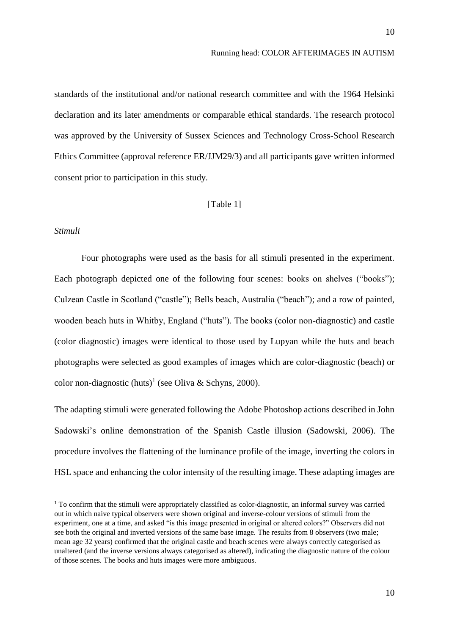standards of the institutional and/or national research committee and with the 1964 Helsinki declaration and its later amendments or comparable ethical standards. The research protocol was approved by the University of Sussex Sciences and Technology Cross-School Research Ethics Committee (approval reference ER/JJM29/3) and all participants gave written informed consent prior to participation in this study.

# [Table 1]

# *Stimuli*

**.** 

Four photographs were used as the basis for all stimuli presented in the experiment. Each photograph depicted one of the following four scenes: books on shelves ("books"); Culzean Castle in Scotland ("castle"); Bells beach, Australia ("beach"); and a row of painted, wooden beach huts in Whitby, England ("huts"). The books (color non-diagnostic) and castle (color diagnostic) images were identical to those used by Lupyan while the huts and beach photographs were selected as good examples of images which are color-diagnostic (beach) or color non-diagnostic  $(huts)^{1}$  (see Oliva & Schyns, 2000).

The adapting stimuli were generated following the Adobe Photoshop actions described in John Sadowski's online demonstration of the Spanish Castle illusion (Sadowski, 2006). The procedure involves the flattening of the luminance profile of the image, inverting the colors in HSL space and enhancing the color intensity of the resulting image. These adapting images are

<sup>&</sup>lt;sup>1</sup> To confirm that the stimuli were appropriately classified as color-diagnostic, an informal survey was carried out in which naive typical observers were shown original and inverse-colour versions of stimuli from the experiment, one at a time, and asked "is this image presented in original or altered colors?" Observers did not see both the original and inverted versions of the same base image. The results from 8 observers (two male; mean age 32 years) confirmed that the original castle and beach scenes were always correctly categorised as unaltered (and the inverse versions always categorised as altered), indicating the diagnostic nature of the colour of those scenes. The books and huts images were more ambiguous.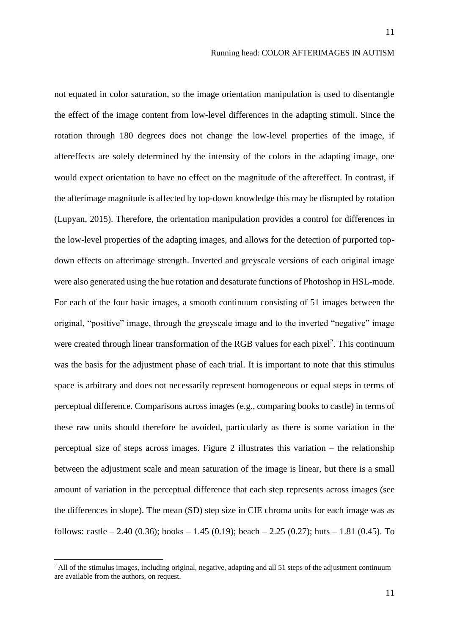not equated in color saturation, so the image orientation manipulation is used to disentangle the effect of the image content from low-level differences in the adapting stimuli. Since the rotation through 180 degrees does not change the low-level properties of the image, if aftereffects are solely determined by the intensity of the colors in the adapting image, one would expect orientation to have no effect on the magnitude of the aftereffect. In contrast, if the afterimage magnitude is affected by top-down knowledge this may be disrupted by rotation (Lupyan, 2015). Therefore, the orientation manipulation provides a control for differences in the low-level properties of the adapting images, and allows for the detection of purported topdown effects on afterimage strength. Inverted and greyscale versions of each original image were also generated using the hue rotation and desaturate functions of Photoshop in HSL-mode. For each of the four basic images, a smooth continuum consisting of 51 images between the original, "positive" image, through the greyscale image and to the inverted "negative" image were created through linear transformation of the RGB values for each pixel<sup>2</sup>. This continuum was the basis for the adjustment phase of each trial. It is important to note that this stimulus space is arbitrary and does not necessarily represent homogeneous or equal steps in terms of perceptual difference. Comparisons across images (e.g., comparing books to castle) in terms of these raw units should therefore be avoided, particularly as there is some variation in the perceptual size of steps across images. Figure 2 illustrates this variation – the relationship between the adjustment scale and mean saturation of the image is linear, but there is a small amount of variation in the perceptual difference that each step represents across images (see the differences in slope). The mean (SD) step size in CIE chroma units for each image was as follows: castle  $- 2.40$  (0.36); books  $- 1.45$  (0.19); beach  $- 2.25$  (0.27); huts  $- 1.81$  (0.45). To

**.** 

 $<sup>2</sup>$  All of the stimulus images, including original, negative, adapting and all 51 steps of the adjustment continuum</sup> are available from the authors, on request.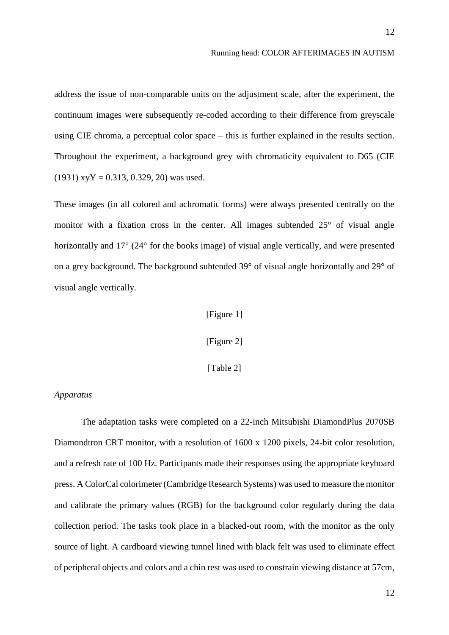address the issue of non-comparable units on the adjustment scale, after the experiment, the continuum images were subsequently re-coded according to their difference from greyscale using CIE chroma, a perceptual color space – this is further explained in the results section. Throughout the experiment, a background grey with chromaticity equivalent to D65 (CIE  $(1931)$  xyY = 0.313, 0.329, 20) was used.

These images (in all colored and achromatic forms) were always presented centrally on the monitor with a fixation cross in the center. All images subtended 25° of visual angle horizontally and 17° (24° for the books image) of visual angle vertically, and were presented on a grey background. The background subtended 39° of visual angle horizontally and 29° of visual angle vertically.

# [Figure 1]

[Figure 2]

[Table 2]

# *Apparatus*

The adaptation tasks were completed on a 22-inch Mitsubishi DiamondPlus 2070SB Diamondtron CRT monitor, with a resolution of 1600 x 1200 pixels, 24-bit color resolution, and a refresh rate of 100 Hz. Participants made their responses using the appropriate keyboard press. A ColorCal colorimeter (Cambridge Research Systems) was used to measure the monitor and calibrate the primary values (RGB) for the background color regularly during the data collection period. The tasks took place in a blacked-out room, with the monitor as the only source of light. A cardboard viewing tunnel lined with black felt was used to eliminate effect of peripheral objects and colors and a chin rest was used to constrain viewing distance at 57cm,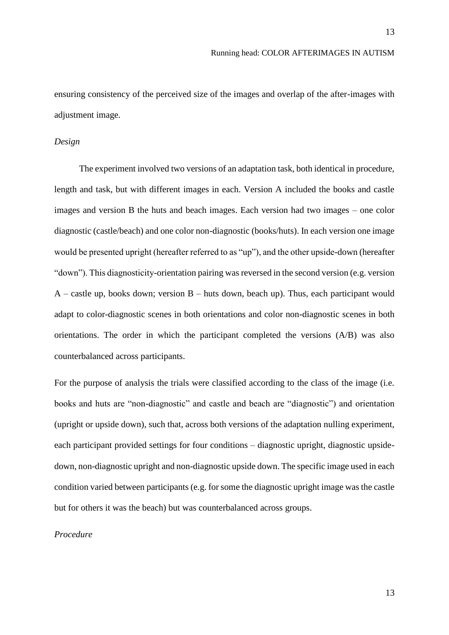ensuring consistency of the perceived size of the images and overlap of the after-images with adjustment image.

# *Design*

The experiment involved two versions of an adaptation task, both identical in procedure, length and task, but with different images in each. Version A included the books and castle images and version B the huts and beach images. Each version had two images – one color diagnostic (castle/beach) and one color non-diagnostic (books/huts). In each version one image would be presented upright (hereafter referred to as "up"), and the other upside-down (hereafter "down"). This diagnosticity-orientation pairing was reversed in the second version (e.g. version  $A$  – castle up, books down; version  $B$  – huts down, beach up). Thus, each participant would adapt to color-diagnostic scenes in both orientations and color non-diagnostic scenes in both orientations. The order in which the participant completed the versions (A/B) was also counterbalanced across participants.

For the purpose of analysis the trials were classified according to the class of the image (i.e. books and huts are "non-diagnostic" and castle and beach are "diagnostic") and orientation (upright or upside down), such that, across both versions of the adaptation nulling experiment, each participant provided settings for four conditions – diagnostic upright, diagnostic upsidedown, non-diagnostic upright and non-diagnostic upside down. The specific image used in each condition varied between participants (e.g. for some the diagnostic upright image was the castle but for others it was the beach) but was counterbalanced across groups.

# *Procedure*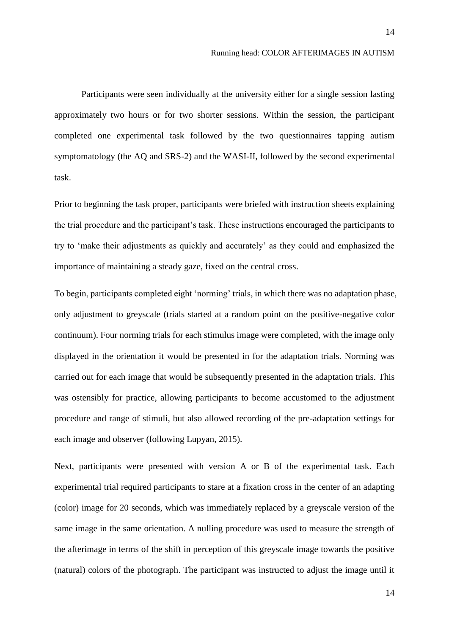Participants were seen individually at the university either for a single session lasting approximately two hours or for two shorter sessions. Within the session, the participant completed one experimental task followed by the two questionnaires tapping autism symptomatology (the AQ and SRS-2) and the WASI-II, followed by the second experimental task.

Prior to beginning the task proper, participants were briefed with instruction sheets explaining the trial procedure and the participant's task. These instructions encouraged the participants to try to 'make their adjustments as quickly and accurately' as they could and emphasized the importance of maintaining a steady gaze, fixed on the central cross.

To begin, participants completed eight 'norming' trials, in which there was no adaptation phase, only adjustment to greyscale (trials started at a random point on the positive-negative color continuum). Four norming trials for each stimulus image were completed, with the image only displayed in the orientation it would be presented in for the adaptation trials. Norming was carried out for each image that would be subsequently presented in the adaptation trials. This was ostensibly for practice, allowing participants to become accustomed to the adjustment procedure and range of stimuli, but also allowed recording of the pre-adaptation settings for each image and observer (following Lupyan, 2015).

Next, participants were presented with version A or B of the experimental task. Each experimental trial required participants to stare at a fixation cross in the center of an adapting (color) image for 20 seconds, which was immediately replaced by a greyscale version of the same image in the same orientation. A nulling procedure was used to measure the strength of the afterimage in terms of the shift in perception of this greyscale image towards the positive (natural) colors of the photograph. The participant was instructed to adjust the image until it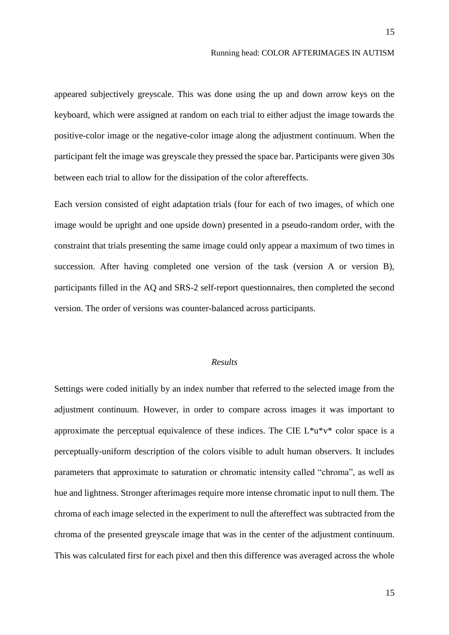appeared subjectively greyscale. This was done using the up and down arrow keys on the keyboard, which were assigned at random on each trial to either adjust the image towards the positive-color image or the negative-color image along the adjustment continuum. When the participant felt the image was greyscale they pressed the space bar. Participants were given 30s between each trial to allow for the dissipation of the color aftereffects.

Each version consisted of eight adaptation trials (four for each of two images, of which one image would be upright and one upside down) presented in a pseudo-random order, with the constraint that trials presenting the same image could only appear a maximum of two times in succession. After having completed one version of the task (version A or version B), participants filled in the AQ and SRS-2 self-report questionnaires, then completed the second version. The order of versions was counter-balanced across participants.

# *Results*

Settings were coded initially by an index number that referred to the selected image from the adjustment continuum. However, in order to compare across images it was important to approximate the perceptual equivalence of these indices. The CIE  $L^*u^*v^*$  color space is a perceptually-uniform description of the colors visible to adult human observers. It includes parameters that approximate to saturation or chromatic intensity called "chroma", as well as hue and lightness. Stronger afterimages require more intense chromatic input to null them. The chroma of each image selected in the experiment to null the aftereffect was subtracted from the chroma of the presented greyscale image that was in the center of the adjustment continuum. This was calculated first for each pixel and then this difference was averaged across the whole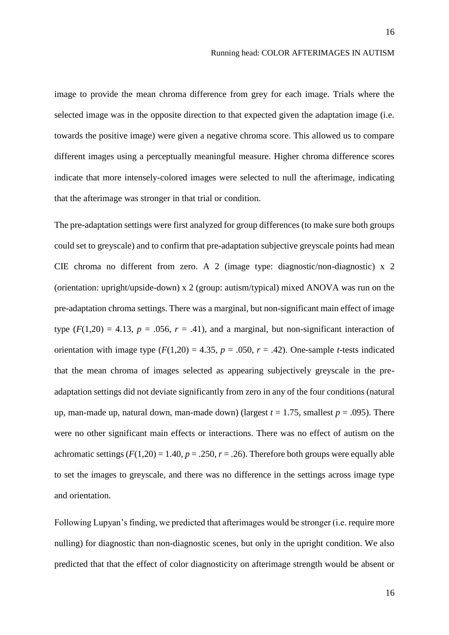image to provide the mean chroma difference from grey for each image. Trials where the selected image was in the opposite direction to that expected given the adaptation image (i.e. towards the positive image) were given a negative chroma score. This allowed us to compare different images using a perceptually meaningful measure. Higher chroma difference scores indicate that more intensely-colored images were selected to null the afterimage, indicating that the afterimage was stronger in that trial or condition.

The pre-adaptation settings were first analyzed for group differences (to make sure both groups could set to greyscale) and to confirm that pre-adaptation subjective greyscale points had mean CIE chroma no different from zero. A 2 (image type: diagnostic/non-diagnostic) x 2 (orientation: upright/upside-down) x 2 (group: autism/typical) mixed ANOVA was run on the pre-adaptation chroma settings. There was a marginal, but non-significant main effect of image type  $(F(1,20) = 4.13, p = .056, r = .41)$ , and a marginal, but non-significant interaction of orientation with image type  $(F(1,20) = 4.35, p = .050, r = .42)$ . One-sample *t*-tests indicated that the mean chroma of images selected as appearing subjectively greyscale in the preadaptation settings did not deviate significantly from zero in any of the four conditions (natural up, man-made up, natural down, man-made down) (largest  $t = 1.75$ , smallest  $p = .095$ ). There were no other significant main effects or interactions. There was no effect of autism on the achromatic settings  $(F(1,20) = 1.40, p = .250, r = .26)$ . Therefore both groups were equally able to set the images to greyscale, and there was no difference in the settings across image type and orientation.

Following Lupyan's finding, we predicted that afterimages would be stronger (i.e. require more nulling) for diagnostic than non-diagnostic scenes, but only in the upright condition. We also predicted that that the effect of color diagnosticity on afterimage strength would be absent or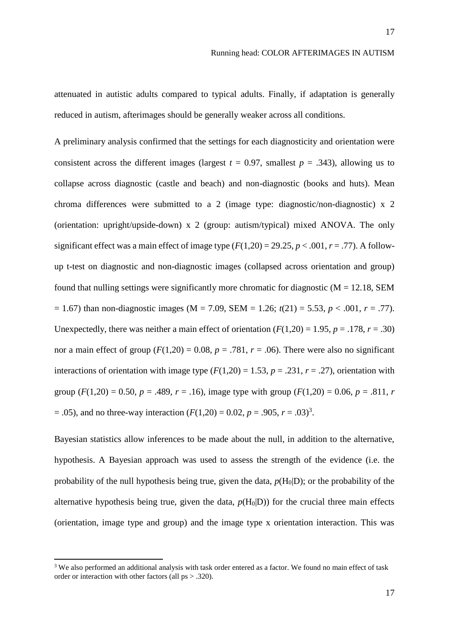attenuated in autistic adults compared to typical adults. Finally, if adaptation is generally reduced in autism, afterimages should be generally weaker across all conditions.

A preliminary analysis confirmed that the settings for each diagnosticity and orientation were consistent across the different images (largest  $t = 0.97$ , smallest  $p = .343$ ), allowing us to collapse across diagnostic (castle and beach) and non-diagnostic (books and huts). Mean chroma differences were submitted to a 2 (image type: diagnostic/non-diagnostic) x 2 (orientation: upright/upside-down) x 2 (group: autism/typical) mixed ANOVA. The only significant effect was a main effect of image type  $(F(1,20) = 29.25, p < .001, r = .77)$ . A followup t-test on diagnostic and non-diagnostic images (collapsed across orientation and group) found that nulling settings were significantly more chromatic for diagnostic  $(M = 12.18, SEM)$  $= 1.67$ ) than non-diagnostic images (M = 7.09, SEM = 1.26; *t*(21) = 5.53, *p* < .001, *r* = .77). Unexpectedly, there was neither a main effect of orientation  $(F(1,20) = 1.95, p = .178, r = .30)$ nor a main effect of group  $(F(1,20) = 0.08, p = .781, r = .06)$ . There were also no significant interactions of orientation with image type  $(F(1,20) = 1.53, p = .231, r = .27)$ , orientation with group ( $F(1,20) = 0.50$ ,  $p = .489$ ,  $r = .16$ ), image type with group ( $F(1,20) = 0.06$ ,  $p = .811$ ,  $r = .811$  $= .05$ ), and no three-way interaction ( $F(1,20) = 0.02$ ,  $p = .905$ ,  $r = .03$ )<sup>3</sup>.

Bayesian statistics allow inferences to be made about the null, in addition to the alternative, hypothesis. A Bayesian approach was used to assess the strength of the evidence (i.e. the probability of the null hypothesis being true, given the data,  $p(H<sub>0</sub>|D)$ ; or the probability of the alternative hypothesis being true, given the data,  $p(H_0|D)$ ) for the crucial three main effects (orientation, image type and group) and the image type x orientation interaction. This was

**.** 

<sup>&</sup>lt;sup>3</sup> We also performed an additional analysis with task order entered as a factor. We found no main effect of task order or interaction with other factors (all ps > .320).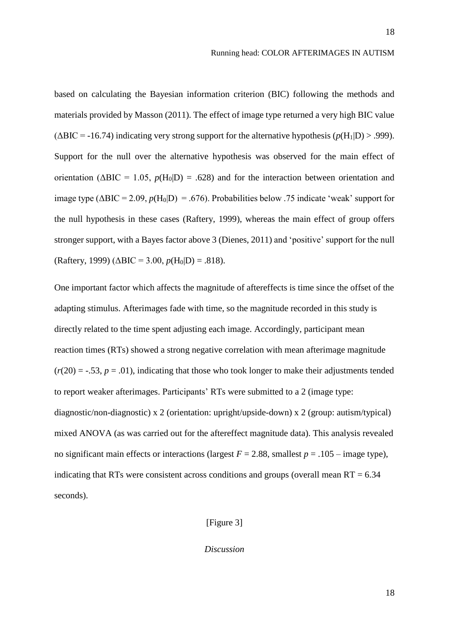based on calculating the Bayesian information criterion (BIC) following the methods and materials provided by Masson (2011). The effect of image type returned a very high BIC value  $(\Delta BIC = -16.74)$  indicating very strong support for the alternative hypothesis ( $p(H_1|D) > .999$ ). Support for the null over the alternative hypothesis was observed for the main effect of orientation ( $\triangle BIC = 1.05$ ,  $p(H_0|D) = .628$ ) and for the interaction between orientation and image type  $(\Delta BIC = 2.09, p(H_0|D) = .676)$ . Probabilities below .75 indicate 'weak' support for the null hypothesis in these cases (Raftery, 1999), whereas the main effect of group offers stronger support, with a Bayes factor above 3 (Dienes, 2011) and 'positive' support for the null (Raftery, 1999) ( $\triangle BIC = 3.00$ ,  $p(H_0|D) = .818$ ).

One important factor which affects the magnitude of aftereffects is time since the offset of the adapting stimulus. Afterimages fade with time, so the magnitude recorded in this study is directly related to the time spent adjusting each image. Accordingly, participant mean reaction times (RTs) showed a strong negative correlation with mean afterimage magnitude  $(r(20) = -.53, p = .01)$ , indicating that those who took longer to make their adjustments tended to report weaker afterimages. Participants' RTs were submitted to a 2 (image type: diagnostic/non-diagnostic) x 2 (orientation: upright/upside-down) x 2 (group: autism/typical) mixed ANOVA (as was carried out for the aftereffect magnitude data). This analysis revealed no significant main effects or interactions (largest  $F = 2.88$ , smallest  $p = .105$  – image type), indicating that RTs were consistent across conditions and groups (overall mean  $RT = 6.34$ ) seconds).

# [Figure 3]

*Discussion*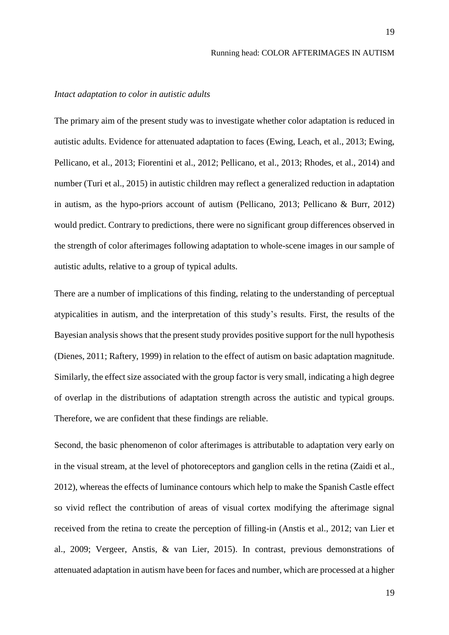# *Intact adaptation to color in autistic adults*

The primary aim of the present study was to investigate whether color adaptation is reduced in autistic adults. Evidence for attenuated adaptation to faces (Ewing, Leach, et al., 2013; Ewing, Pellicano, et al., 2013; Fiorentini et al., 2012; Pellicano, et al., 2013; Rhodes, et al., 2014) and number (Turi et al., 2015) in autistic children may reflect a generalized reduction in adaptation in autism, as the hypo-priors account of autism (Pellicano, 2013; Pellicano & Burr, 2012) would predict. Contrary to predictions, there were no significant group differences observed in the strength of color afterimages following adaptation to whole-scene images in our sample of autistic adults, relative to a group of typical adults.

There are a number of implications of this finding, relating to the understanding of perceptual atypicalities in autism, and the interpretation of this study's results. First, the results of the Bayesian analysis shows that the present study provides positive support for the null hypothesis (Dienes, 2011; Raftery, 1999) in relation to the effect of autism on basic adaptation magnitude. Similarly, the effect size associated with the group factor is very small, indicating a high degree of overlap in the distributions of adaptation strength across the autistic and typical groups. Therefore, we are confident that these findings are reliable.

Second, the basic phenomenon of color afterimages is attributable to adaptation very early on in the visual stream, at the level of photoreceptors and ganglion cells in the retina (Zaidi et al., 2012), whereas the effects of luminance contours which help to make the Spanish Castle effect so vivid reflect the contribution of areas of visual cortex modifying the afterimage signal received from the retina to create the perception of filling-in (Anstis et al., 2012; van Lier et al., 2009; Vergeer, Anstis, & van Lier, 2015). In contrast, previous demonstrations of attenuated adaptation in autism have been for faces and number, which are processed at a higher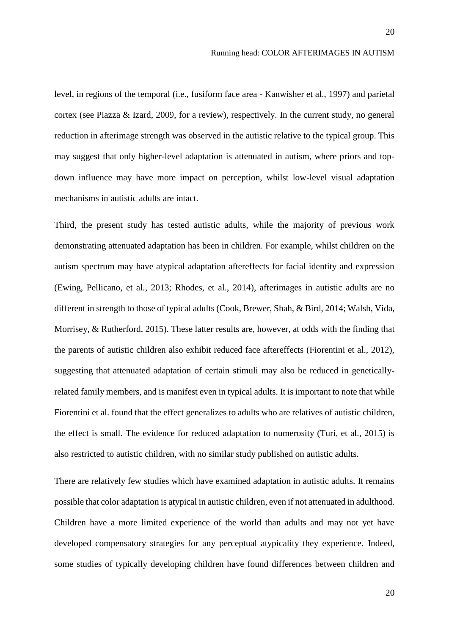level, in regions of the temporal (i.e., fusiform face area - Kanwisher et al., 1997) and parietal cortex (see Piazza & Izard, 2009, for a review), respectively. In the current study, no general reduction in afterimage strength was observed in the autistic relative to the typical group. This may suggest that only higher-level adaptation is attenuated in autism, where priors and topdown influence may have more impact on perception, whilst low-level visual adaptation mechanisms in autistic adults are intact.

Third, the present study has tested autistic adults, while the majority of previous work demonstrating attenuated adaptation has been in children. For example, whilst children on the autism spectrum may have atypical adaptation aftereffects for facial identity and expression (Ewing, Pellicano, et al., 2013; Rhodes, et al., 2014), afterimages in autistic adults are no different in strength to those of typical adults (Cook, Brewer, Shah, & Bird, 2014; Walsh, Vida, Morrisey, & Rutherford, 2015). These latter results are, however, at odds with the finding that the parents of autistic children also exhibit reduced face aftereffects (Fiorentini et al., 2012), suggesting that attenuated adaptation of certain stimuli may also be reduced in geneticallyrelated family members, and is manifest even in typical adults. It is important to note that while Fiorentini et al. found that the effect generalizes to adults who are relatives of autistic children, the effect is small. The evidence for reduced adaptation to numerosity (Turi, et al., 2015) is also restricted to autistic children, with no similar study published on autistic adults.

There are relatively few studies which have examined adaptation in autistic adults. It remains possible that color adaptation is atypical in autistic children, even if not attenuated in adulthood. Children have a more limited experience of the world than adults and may not yet have developed compensatory strategies for any perceptual atypicality they experience. Indeed, some studies of typically developing children have found differences between children and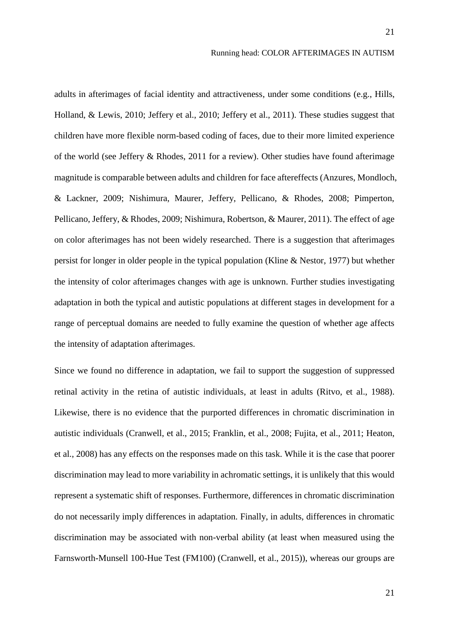adults in afterimages of facial identity and attractiveness, under some conditions (e.g., Hills, Holland, & Lewis, 2010; Jeffery et al., 2010; Jeffery et al., 2011). These studies suggest that children have more flexible norm-based coding of faces, due to their more limited experience of the world (see Jeffery & Rhodes, 2011 for a review). Other studies have found afterimage magnitude is comparable between adults and children for face aftereffects (Anzures, Mondloch, & Lackner, 2009; Nishimura, Maurer, Jeffery, Pellicano, & Rhodes, 2008; Pimperton, Pellicano, Jeffery, & Rhodes, 2009; Nishimura, Robertson, & Maurer, 2011). The effect of age on color afterimages has not been widely researched. There is a suggestion that afterimages persist for longer in older people in the typical population (Kline & Nestor, 1977) but whether the intensity of color afterimages changes with age is unknown. Further studies investigating adaptation in both the typical and autistic populations at different stages in development for a range of perceptual domains are needed to fully examine the question of whether age affects the intensity of adaptation afterimages.

Since we found no difference in adaptation, we fail to support the suggestion of suppressed retinal activity in the retina of autistic individuals, at least in adults (Ritvo, et al., 1988). Likewise, there is no evidence that the purported differences in chromatic discrimination in autistic individuals (Cranwell, et al., 2015; Franklin, et al., 2008; Fujita, et al., 2011; Heaton, et al., 2008) has any effects on the responses made on this task. While it is the case that poorer discrimination may lead to more variability in achromatic settings, it is unlikely that this would represent a systematic shift of responses. Furthermore, differences in chromatic discrimination do not necessarily imply differences in adaptation. Finally, in adults, differences in chromatic discrimination may be associated with non-verbal ability (at least when measured using the Farnsworth-Munsell 100-Hue Test (FM100) (Cranwell, et al., 2015)), whereas our groups are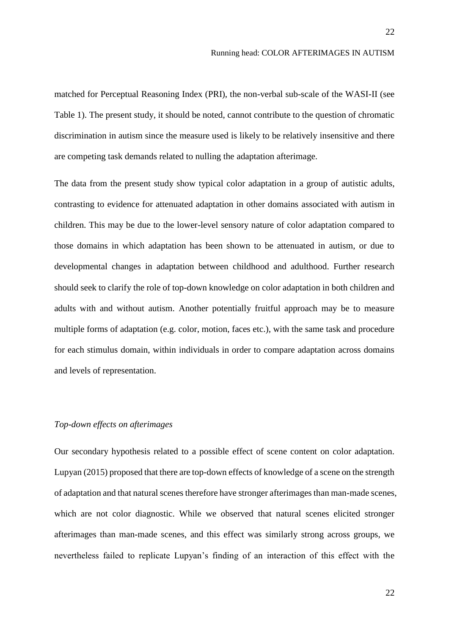matched for Perceptual Reasoning Index (PRI), the non-verbal sub-scale of the WASI-II (see Table 1). The present study, it should be noted, cannot contribute to the question of chromatic discrimination in autism since the measure used is likely to be relatively insensitive and there are competing task demands related to nulling the adaptation afterimage.

The data from the present study show typical color adaptation in a group of autistic adults, contrasting to evidence for attenuated adaptation in other domains associated with autism in children. This may be due to the lower-level sensory nature of color adaptation compared to those domains in which adaptation has been shown to be attenuated in autism, or due to developmental changes in adaptation between childhood and adulthood. Further research should seek to clarify the role of top-down knowledge on color adaptation in both children and adults with and without autism. Another potentially fruitful approach may be to measure multiple forms of adaptation (e.g. color, motion, faces etc.), with the same task and procedure for each stimulus domain, within individuals in order to compare adaptation across domains and levels of representation.

# *Top-down effects on afterimages*

Our secondary hypothesis related to a possible effect of scene content on color adaptation. Lupyan (2015) proposed that there are top-down effects of knowledge of a scene on the strength of adaptation and that natural scenes therefore have stronger afterimages than man-made scenes, which are not color diagnostic. While we observed that natural scenes elicited stronger afterimages than man-made scenes, and this effect was similarly strong across groups, we nevertheless failed to replicate Lupyan's finding of an interaction of this effect with the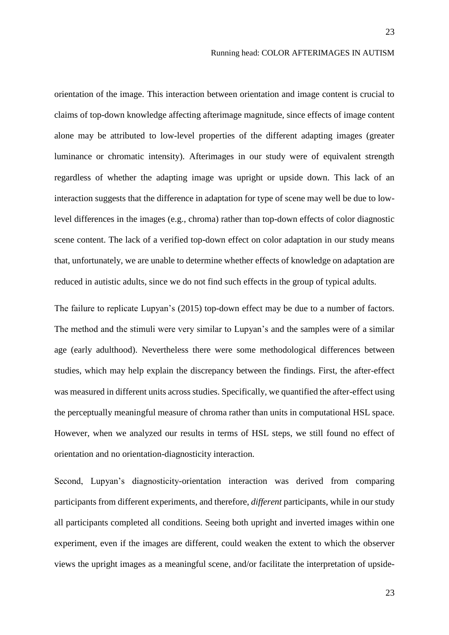orientation of the image. This interaction between orientation and image content is crucial to claims of top-down knowledge affecting afterimage magnitude, since effects of image content alone may be attributed to low-level properties of the different adapting images (greater luminance or chromatic intensity). Afterimages in our study were of equivalent strength regardless of whether the adapting image was upright or upside down. This lack of an interaction suggests that the difference in adaptation for type of scene may well be due to lowlevel differences in the images (e.g., chroma) rather than top-down effects of color diagnostic scene content. The lack of a verified top-down effect on color adaptation in our study means that, unfortunately, we are unable to determine whether effects of knowledge on adaptation are reduced in autistic adults, since we do not find such effects in the group of typical adults.

The failure to replicate Lupyan's (2015) top-down effect may be due to a number of factors. The method and the stimuli were very similar to Lupyan's and the samples were of a similar age (early adulthood). Nevertheless there were some methodological differences between studies, which may help explain the discrepancy between the findings. First, the after-effect was measured in different units across studies. Specifically, we quantified the after-effect using the perceptually meaningful measure of chroma rather than units in computational HSL space. However, when we analyzed our results in terms of HSL steps, we still found no effect of orientation and no orientation-diagnosticity interaction.

Second, Lupyan's diagnosticity-orientation interaction was derived from comparing participants from different experiments, and therefore, *different* participants, while in our study all participants completed all conditions. Seeing both upright and inverted images within one experiment, even if the images are different, could weaken the extent to which the observer views the upright images as a meaningful scene, and/or facilitate the interpretation of upside-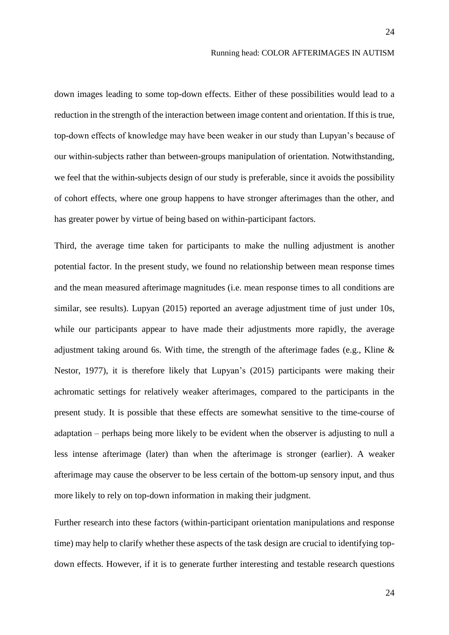down images leading to some top-down effects. Either of these possibilities would lead to a reduction in the strength of the interaction between image content and orientation. If this is true, top-down effects of knowledge may have been weaker in our study than Lupyan's because of our within-subjects rather than between-groups manipulation of orientation. Notwithstanding, we feel that the within-subjects design of our study is preferable, since it avoids the possibility of cohort effects, where one group happens to have stronger afterimages than the other, and has greater power by virtue of being based on within-participant factors.

Third, the average time taken for participants to make the nulling adjustment is another potential factor. In the present study, we found no relationship between mean response times and the mean measured afterimage magnitudes (i.e. mean response times to all conditions are similar, see results). Lupyan (2015) reported an average adjustment time of just under 10s, while our participants appear to have made their adjustments more rapidly, the average adjustment taking around 6s. With time, the strength of the afterimage fades (e.g., Kline & Nestor, 1977), it is therefore likely that Lupyan's (2015) participants were making their achromatic settings for relatively weaker afterimages, compared to the participants in the present study. It is possible that these effects are somewhat sensitive to the time-course of adaptation – perhaps being more likely to be evident when the observer is adjusting to null a less intense afterimage (later) than when the afterimage is stronger (earlier). A weaker afterimage may cause the observer to be less certain of the bottom-up sensory input, and thus more likely to rely on top-down information in making their judgment.

Further research into these factors (within-participant orientation manipulations and response time) may help to clarify whether these aspects of the task design are crucial to identifying topdown effects. However, if it is to generate further interesting and testable research questions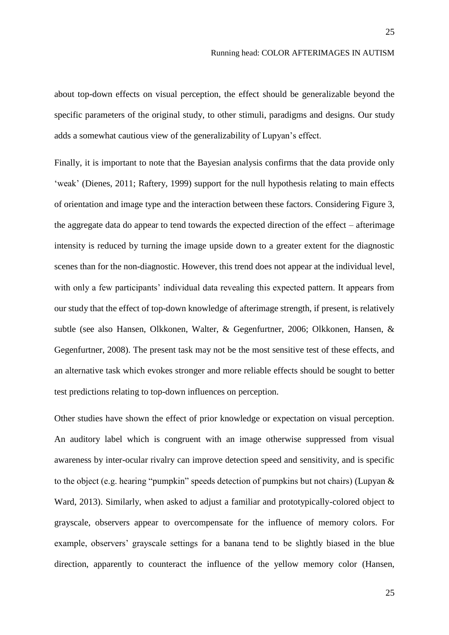about top-down effects on visual perception, the effect should be generalizable beyond the specific parameters of the original study, to other stimuli, paradigms and designs. Our study adds a somewhat cautious view of the generalizability of Lupyan's effect.

Finally, it is important to note that the Bayesian analysis confirms that the data provide only 'weak' (Dienes, 2011; Raftery, 1999) support for the null hypothesis relating to main effects of orientation and image type and the interaction between these factors. Considering Figure 3, the aggregate data do appear to tend towards the expected direction of the effect – afterimage intensity is reduced by turning the image upside down to a greater extent for the diagnostic scenes than for the non-diagnostic. However, this trend does not appear at the individual level, with only a few participants' individual data revealing this expected pattern. It appears from our study that the effect of top-down knowledge of afterimage strength, if present, is relatively subtle (see also Hansen, Olkkonen, Walter, & Gegenfurtner, 2006; Olkkonen, Hansen, & Gegenfurtner, 2008). The present task may not be the most sensitive test of these effects, and an alternative task which evokes stronger and more reliable effects should be sought to better test predictions relating to top-down influences on perception.

Other studies have shown the effect of prior knowledge or expectation on visual perception. An auditory label which is congruent with an image otherwise suppressed from visual awareness by inter-ocular rivalry can improve detection speed and sensitivity, and is specific to the object (e.g. hearing "pumpkin" speeds detection of pumpkins but not chairs) (Lupyan & Ward, 2013). Similarly, when asked to adjust a familiar and prototypically-colored object to grayscale, observers appear to overcompensate for the influence of memory colors. For example, observers' grayscale settings for a banana tend to be slightly biased in the blue direction, apparently to counteract the influence of the yellow memory color (Hansen,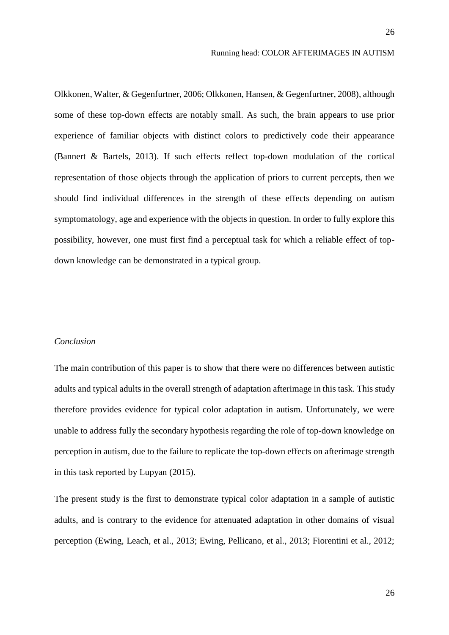Olkkonen, Walter, & Gegenfurtner, 2006; Olkkonen, Hansen, & Gegenfurtner, 2008), although some of these top-down effects are notably small. As such, the brain appears to use prior experience of familiar objects with distinct colors to predictively code their appearance (Bannert & Bartels, 2013). If such effects reflect top-down modulation of the cortical representation of those objects through the application of priors to current percepts, then we should find individual differences in the strength of these effects depending on autism symptomatology, age and experience with the objects in question. In order to fully explore this possibility, however, one must first find a perceptual task for which a reliable effect of topdown knowledge can be demonstrated in a typical group.

#### *Conclusion*

The main contribution of this paper is to show that there were no differences between autistic adults and typical adults in the overall strength of adaptation afterimage in this task. This study therefore provides evidence for typical color adaptation in autism. Unfortunately, we were unable to address fully the secondary hypothesis regarding the role of top-down knowledge on perception in autism, due to the failure to replicate the top-down effects on afterimage strength in this task reported by Lupyan (2015).

The present study is the first to demonstrate typical color adaptation in a sample of autistic adults, and is contrary to the evidence for attenuated adaptation in other domains of visual perception (Ewing, Leach, et al., 2013; Ewing, Pellicano, et al., 2013; Fiorentini et al., 2012;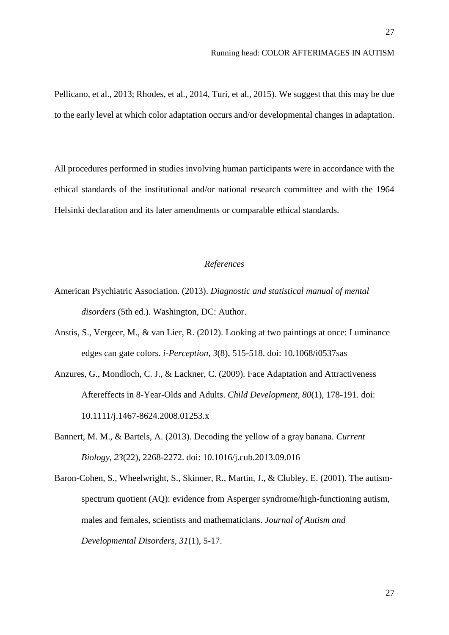Pellicano, et al., 2013; Rhodes, et al., 2014, Turi, et al., 2015). We suggest that this may be due to the early level at which color adaptation occurs and/or developmental changes in adaptation.

All procedures performed in studies involving human participants were in accordance with the ethical standards of the institutional and/or national research committee and with the 1964 Helsinki declaration and its later amendments or comparable ethical standards.

# *References*

- American Psychiatric Association. (2013). *Diagnostic and statistical manual of mental disorders* (5th ed.). Washington, DC: Author.
- Anstis, S., Vergeer, M., & van Lier, R. (2012). Looking at two paintings at once: Luminance edges can gate colors. *i-Perception, 3*(8), 515-518. doi: 10.1068/i0537sas
- Anzures, G., Mondloch, C. J., & Lackner, C. (2009). Face Adaptation and Attractiveness Aftereffects in 8-Year-Olds and Adults. *Child Development, 80*(1), 178-191. doi: 10.1111/j.1467-8624.2008.01253.x
- Bannert, M. M., & Bartels, A. (2013). Decoding the yellow of a gray banana. *Current Biology, 23*(22), 2268-2272. doi: 10.1016/j.cub.2013.09.016
- Baron-Cohen, S., Wheelwright, S., Skinner, R., Martin, J., & Clubley, E. (2001). The autismspectrum quotient (AQ): evidence from Asperger syndrome/high-functioning autism, males and females, scientists and mathematicians. *Journal of Autism and Developmental Disorders, 31*(1), 5-17.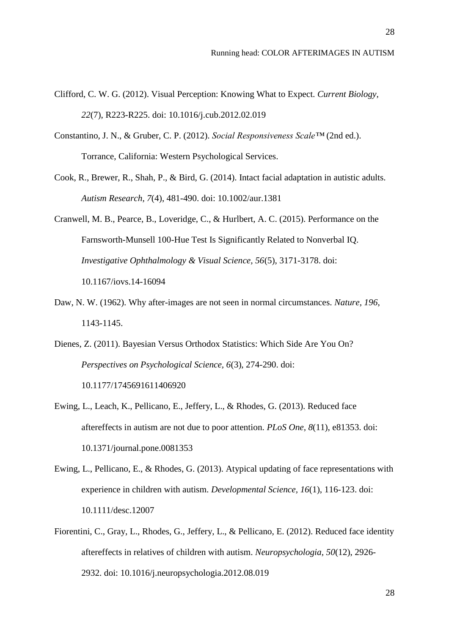- Clifford, C. W. G. (2012). Visual Perception: Knowing What to Expect. *Current Biology, 22*(7), R223-R225. doi: 10.1016/j.cub.2012.02.019
- Constantino, J. N., & Gruber, C. P. (2012). *Social Responsiveness Scale™* (2nd ed.). Torrance, California: Western Psychological Services.
- Cook, R., Brewer, R., Shah, P., & Bird, G. (2014). Intact facial adaptation in autistic adults. *Autism Research, 7*(4), 481-490. doi: 10.1002/aur.1381
- Cranwell, M. B., Pearce, B., Loveridge, C., & Hurlbert, A. C. (2015). Performance on the Farnsworth-Munsell 100-Hue Test Is Significantly Related to Nonverbal IQ. *Investigative Ophthalmology & Visual Science, 56*(5), 3171-3178. doi: 10.1167/iovs.14-16094
- Daw, N. W. (1962). Why after-images are not seen in normal circumstances. *Nature, 196*, 1143-1145.
- Dienes, Z. (2011). Bayesian Versus Orthodox Statistics: Which Side Are You On? *Perspectives on Psychological Science, 6*(3), 274-290. doi: 10.1177/1745691611406920
- Ewing, L., Leach, K., Pellicano, E., Jeffery, L., & Rhodes, G. (2013). Reduced face aftereffects in autism are not due to poor attention. *PLoS One, 8*(11), e81353. doi: 10.1371/journal.pone.0081353
- Ewing, L., Pellicano, E., & Rhodes, G. (2013). Atypical updating of face representations with experience in children with autism. *Developmental Science, 16*(1), 116-123. doi: 10.1111/desc.12007
- Fiorentini, C., Gray, L., Rhodes, G., Jeffery, L., & Pellicano, E. (2012). Reduced face identity aftereffects in relatives of children with autism. *Neuropsychologia, 50*(12), 2926- 2932. doi: 10.1016/j.neuropsychologia.2012.08.019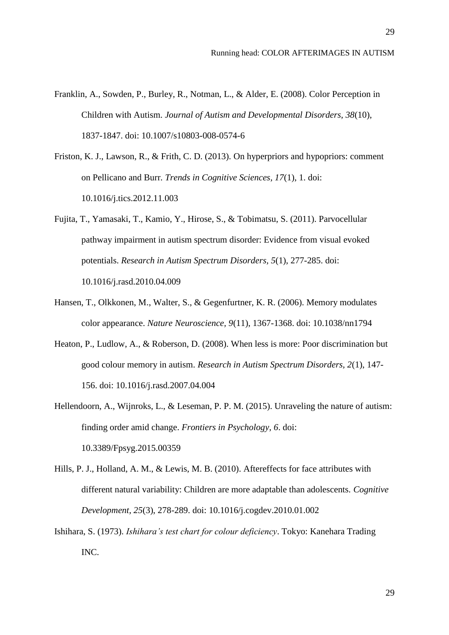- Franklin, A., Sowden, P., Burley, R., Notman, L., & Alder, E. (2008). Color Perception in Children with Autism. *Journal of Autism and Developmental Disorders, 38*(10), 1837-1847. doi: 10.1007/s10803-008-0574-6
- Friston, K. J., Lawson, R., & Frith, C. D. (2013). On hyperpriors and hypopriors: comment on Pellicano and Burr. *Trends in Cognitive Sciences, 17*(1), 1. doi: 10.1016/j.tics.2012.11.003
- Fujita, T., Yamasaki, T., Kamio, Y., Hirose, S., & Tobimatsu, S. (2011). Parvocellular pathway impairment in autism spectrum disorder: Evidence from visual evoked potentials. *Research in Autism Spectrum Disorders, 5*(1), 277-285. doi: 10.1016/j.rasd.2010.04.009
- Hansen, T., Olkkonen, M., Walter, S., & Gegenfurtner, K. R. (2006). Memory modulates color appearance. *Nature Neuroscience, 9*(11), 1367-1368. doi: 10.1038/nn1794
- Heaton, P., Ludlow, A., & Roberson, D. (2008). When less is more: Poor discrimination but good colour memory in autism. *Research in Autism Spectrum Disorders, 2*(1), 147- 156. doi: 10.1016/j.rasd.2007.04.004
- Hellendoorn, A., Wijnroks, L., & Leseman, P. P. M. (2015). Unraveling the nature of autism: finding order amid change. *Frontiers in Psychology, 6*. doi: 10.3389/Fpsyg.2015.00359
- Hills, P. J., Holland, A. M., & Lewis, M. B. (2010). Aftereffects for face attributes with different natural variability: Children are more adaptable than adolescents. *Cognitive Development, 25*(3), 278-289. doi: 10.1016/j.cogdev.2010.01.002
- Ishihara, S. (1973). *Ishihara's test chart for colour deficiency*. Tokyo: Kanehara Trading INC.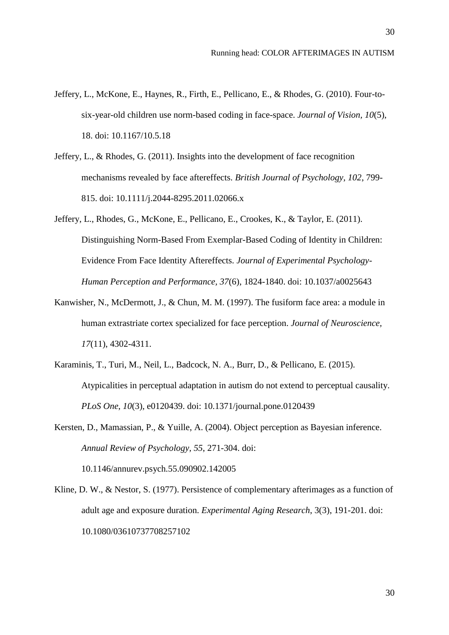- Jeffery, L., McKone, E., Haynes, R., Firth, E., Pellicano, E., & Rhodes, G. (2010). Four-tosix-year-old children use norm-based coding in face-space. *Journal of Vision, 10*(5), 18. doi: 10.1167/10.5.18
- Jeffery, L., & Rhodes, G. (2011). Insights into the development of face recognition mechanisms revealed by face aftereffects. *British Journal of Psychology, 102*, 799- 815. doi: 10.1111/j.2044-8295.2011.02066.x
- Jeffery, L., Rhodes, G., McKone, E., Pellicano, E., Crookes, K., & Taylor, E. (2011). Distinguishing Norm-Based From Exemplar-Based Coding of Identity in Children: Evidence From Face Identity Aftereffects. *Journal of Experimental Psychology-Human Perception and Performance, 37*(6), 1824-1840. doi: 10.1037/a0025643
- Kanwisher, N., McDermott, J., & Chun, M. M. (1997). The fusiform face area: a module in human extrastriate cortex specialized for face perception. *Journal of Neuroscience, 17*(11), 4302-4311.
- Karaminis, T., Turi, M., Neil, L., Badcock, N. A., Burr, D., & Pellicano, E. (2015). Atypicalities in perceptual adaptation in autism do not extend to perceptual causality. *PLoS One*, *10*(3), e0120439. doi: 10.1371/journal.pone.0120439
- Kersten, D., Mamassian, P., & Yuille, A. (2004). Object perception as Bayesian inference. *Annual Review of Psychology, 55*, 271-304. doi: 10.1146/annurev.psych.55.090902.142005
- Kline, D. W., & Nestor, S. (1977). Persistence of complementary afterimages as a function of adult age and exposure duration. *Experimental Aging Research*, 3(3), 191-201. doi: 10.1080/03610737708257102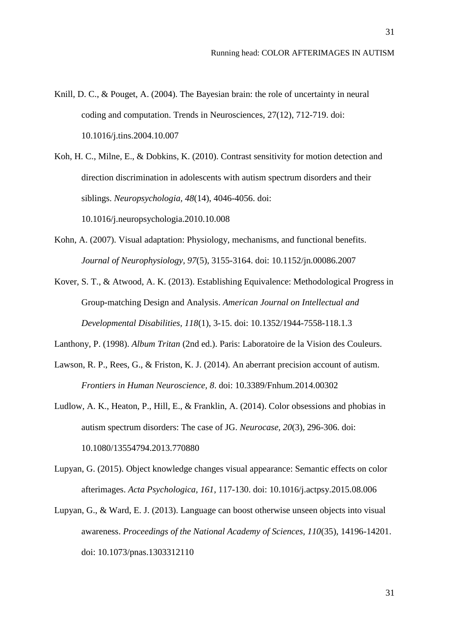- Knill, D. C., & Pouget, A. (2004). The Bayesian brain: the role of uncertainty in neural coding and computation. Trends in Neurosciences, 27(12), 712-719. doi: 10.1016/j.tins.2004.10.007
- Koh, H. C., Milne, E., & Dobkins, K. (2010). Contrast sensitivity for motion detection and direction discrimination in adolescents with autism spectrum disorders and their siblings. *Neuropsychologia, 48*(14), 4046-4056. doi: 10.1016/j.neuropsychologia.2010.10.008
- Kohn, A. (2007). Visual adaptation: Physiology, mechanisms, and functional benefits. *Journal of Neurophysiology, 97*(5), 3155-3164. doi: 10.1152/jn.00086.2007
- Kover, S. T., & Atwood, A. K. (2013). Establishing Equivalence: Methodological Progress in Group-matching Design and Analysis. *American Journal on Intellectual and Developmental Disabilities, 118*(1), 3-15. doi: 10.1352/1944-7558-118.1.3
- Lanthony, P. (1998). *Album Tritan* (2nd ed.). Paris: Laboratoire de la Vision des Couleurs.
- Lawson, R. P., Rees, G., & Friston, K. J. (2014). An aberrant precision account of autism. *Frontiers in Human Neuroscience, 8*. doi: 10.3389/Fnhum.2014.00302
- Ludlow, A. K., Heaton, P., Hill, E., & Franklin, A. (2014). Color obsessions and phobias in autism spectrum disorders: The case of JG. *Neurocase, 20*(3), 296-306. doi: 10.1080/13554794.2013.770880
- Lupyan, G. (2015). Object knowledge changes visual appearance: Semantic effects on color afterimages. *Acta Psychologica, 161*, 117-130. doi: 10.1016/j.actpsy.2015.08.006
- Lupyan, G., & Ward, E. J. (2013). Language can boost otherwise unseen objects into visual awareness. *Proceedings of the National Academy of Sciences, 110*(35), 14196-14201. doi: 10.1073/pnas.1303312110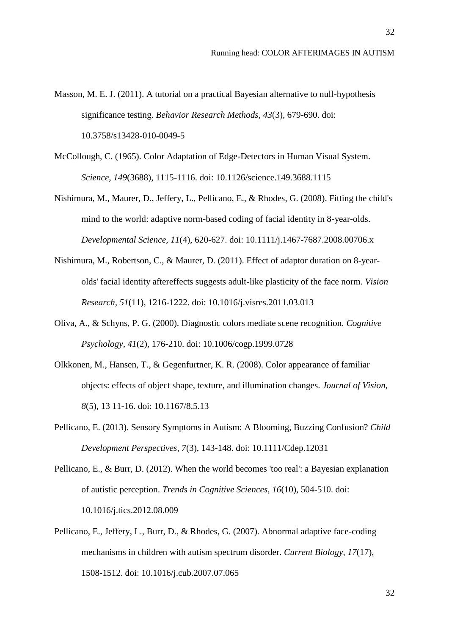- Masson, M. E. J. (2011). A tutorial on a practical Bayesian alternative to null-hypothesis significance testing. *Behavior Research Methods, 43*(3), 679-690. doi: 10.3758/s13428-010-0049-5
- McCollough, C. (1965). Color Adaptation of Edge-Detectors in Human Visual System. *Science, 149*(3688), 1115-1116. doi: 10.1126/science.149.3688.1115
- Nishimura, M., Maurer, D., Jeffery, L., Pellicano, E., & Rhodes, G. (2008). Fitting the child's mind to the world: adaptive norm-based coding of facial identity in 8-year-olds. *Developmental Science, 11*(4), 620-627. doi: 10.1111/j.1467-7687.2008.00706.x
- Nishimura, M., Robertson, C., & Maurer, D. (2011). Effect of adaptor duration on 8-yearolds' facial identity aftereffects suggests adult-like plasticity of the face norm. *Vision Research, 51*(11), 1216-1222. doi: 10.1016/j.visres.2011.03.013
- Oliva, A., & Schyns, P. G. (2000). Diagnostic colors mediate scene recognition. *Cognitive Psychology, 41*(2), 176-210. doi: 10.1006/cogp.1999.0728
- Olkkonen, M., Hansen, T., & Gegenfurtner, K. R. (2008). Color appearance of familiar objects: effects of object shape, texture, and illumination changes. *Journal of Vision, 8*(5), 13 11-16. doi: 10.1167/8.5.13
- Pellicano, E. (2013). Sensory Symptoms in Autism: A Blooming, Buzzing Confusion? *Child Development Perspectives, 7*(3), 143-148. doi: 10.1111/Cdep.12031
- Pellicano, E., & Burr, D. (2012). When the world becomes 'too real': a Bayesian explanation of autistic perception. *Trends in Cognitive Sciences, 16*(10), 504-510. doi: 10.1016/j.tics.2012.08.009
- Pellicano, E., Jeffery, L., Burr, D., & Rhodes, G. (2007). Abnormal adaptive face-coding mechanisms in children with autism spectrum disorder. *Current Biology, 17*(17), 1508-1512. doi: 10.1016/j.cub.2007.07.065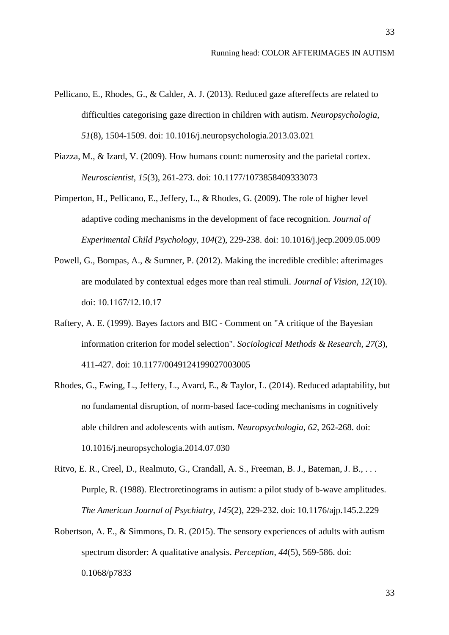- Pellicano, E., Rhodes, G., & Calder, A. J. (2013). Reduced gaze aftereffects are related to difficulties categorising gaze direction in children with autism. *Neuropsychologia, 51*(8), 1504-1509. doi: 10.1016/j.neuropsychologia.2013.03.021
- Piazza, M., & Izard, V. (2009). How humans count: numerosity and the parietal cortex. *Neuroscientist, 15*(3), 261-273. doi: 10.1177/1073858409333073
- Pimperton, H., Pellicano, E., Jeffery, L., & Rhodes, G. (2009). The role of higher level adaptive coding mechanisms in the development of face recognition*. Journal of Experimental Child Psychology, 104*(2), 229-238. doi: 10.1016/j.jecp.2009.05.009
- Powell, G., Bompas, A., & Sumner, P. (2012). Making the incredible credible: afterimages are modulated by contextual edges more than real stimuli. *Journal of Vision, 12*(10). doi: 10.1167/12.10.17
- Raftery, A. E. (1999). Bayes factors and BIC Comment on "A critique of the Bayesian information criterion for model selection". *Sociological Methods & Research, 27*(3), 411-427. doi: 10.1177/0049124199027003005
- Rhodes, G., Ewing, L., Jeffery, L., Avard, E., & Taylor, L. (2014). Reduced adaptability, but no fundamental disruption, of norm-based face-coding mechanisms in cognitively able children and adolescents with autism. *Neuropsychologia, 62*, 262-268. doi: 10.1016/j.neuropsychologia.2014.07.030

Ritvo, E. R., Creel, D., Realmuto, G., Crandall, A. S., Freeman, B. J., Bateman, J. B., . . . Purple, R. (1988). Electroretinograms in autism: a pilot study of b-wave amplitudes. *The American Journal of Psychiatry, 145*(2), 229-232. doi: 10.1176/ajp.145.2.229

Robertson, A. E., & Simmons, D. R. (2015). The sensory experiences of adults with autism spectrum disorder: A qualitative analysis. *Perception*, *44*(5), 569-586. doi: 0.1068/p7833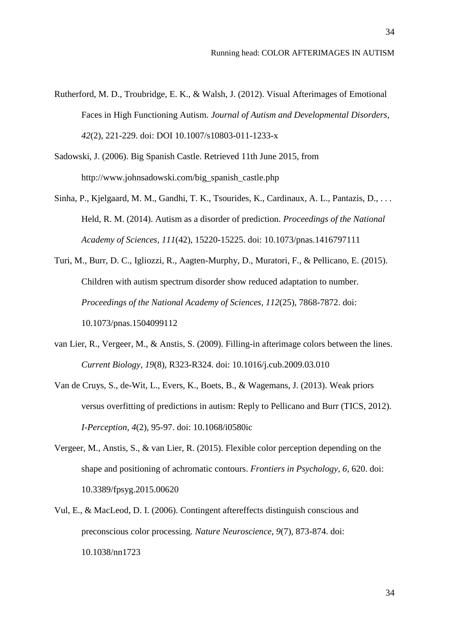- Rutherford, M. D., Troubridge, E. K., & Walsh, J. (2012). Visual Afterimages of Emotional Faces in High Functioning Autism. *Journal of Autism and Developmental Disorders, 42*(2), 221-229. doi: DOI 10.1007/s10803-011-1233-x
- Sadowski, J. (2006). Big Spanish Castle. Retrieved 11th June 2015, from http://www.johnsadowski.com/big\_spanish\_castle.php
- Sinha, P., Kjelgaard, M. M., Gandhi, T. K., Tsourides, K., Cardinaux, A. L., Pantazis, D., . . . Held, R. M. (2014). Autism as a disorder of prediction. *Proceedings of the National Academy of Sciences, 111*(42), 15220-15225. doi: 10.1073/pnas.1416797111
- Turi, M., Burr, D. C., Igliozzi, R., Aagten-Murphy, D., Muratori, F., & Pellicano, E. (2015). Children with autism spectrum disorder show reduced adaptation to number. *Proceedings of the National Academy of Sciences, 112*(25), 7868-7872. doi: 10.1073/pnas.1504099112
- van Lier, R., Vergeer, M., & Anstis, S. (2009). Filling-in afterimage colors between the lines. *Current Biology, 19*(8), R323-R324. doi: 10.1016/j.cub.2009.03.010
- Van de Cruys, S., de-Wit, L., Evers, K., Boets, B., & Wagemans, J. (2013). Weak priors versus overfitting of predictions in autism: Reply to Pellicano and Burr (TICS, 2012). *I-Perception, 4*(2), 95-97. doi: 10.1068/i0580ic
- Vergeer, M., Anstis, S., & van Lier, R. (2015). Flexible color perception depending on the shape and positioning of achromatic contours. *Frontiers in Psychology, 6*, 620. doi: 10.3389/fpsyg.2015.00620
- Vul, E., & MacLeod, D. I. (2006). Contingent aftereffects distinguish conscious and preconscious color processing. *Nature Neuroscience, 9*(7), 873-874. doi: 10.1038/nn1723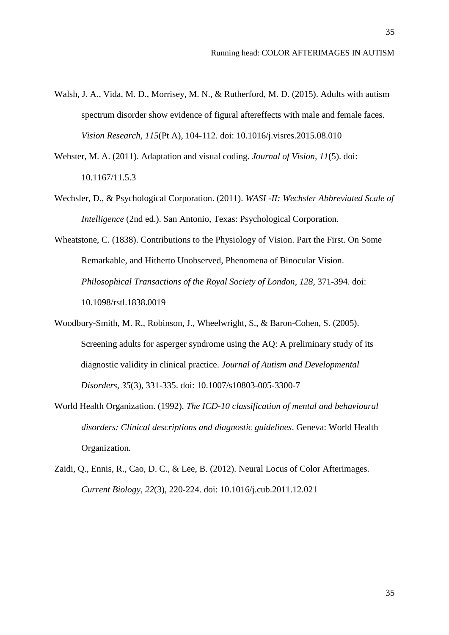- Walsh, J. A., Vida, M. D., Morrisey, M. N., & Rutherford, M. D. (2015). Adults with autism spectrum disorder show evidence of figural aftereffects with male and female faces. *Vision Research*, *115*(Pt A), 104-112. doi: 10.1016/j.visres.2015.08.010
- Webster, M. A. (2011). Adaptation and visual coding. *Journal of Vision, 11*(5). doi: 10.1167/11.5.3
- Wechsler, D., & Psychological Corporation. (2011). *WASI -II: Wechsler Abbreviated Scale of Intelligence* (2nd ed.). San Antonio, Texas: Psychological Corporation.
- Wheatstone, C. (1838). Contributions to the Physiology of Vision. Part the First. On Some Remarkable, and Hitherto Unobserved, Phenomena of Binocular Vision. *Philosophical Transactions of the Royal Society of London, 128*, 371-394. doi: 10.1098/rstl.1838.0019
- Woodbury-Smith, M. R., Robinson, J., Wheelwright, S., & Baron-Cohen, S. (2005). Screening adults for asperger syndrome using the AQ: A preliminary study of its diagnostic validity in clinical practice. *Journal of Autism and Developmental Disorders, 35*(3), 331-335. doi: 10.1007/s10803-005-3300-7
- World Health Organization. (1992). *The ICD-10 classification of mental and behavioural disorders: Clinical descriptions and diagnostic guidelines*. Geneva: World Health Organization.
- Zaidi, Q., Ennis, R., Cao, D. C., & Lee, B. (2012). Neural Locus of Color Afterimages. *Current Biology, 22*(3), 220-224. doi: 10.1016/j.cub.2011.12.021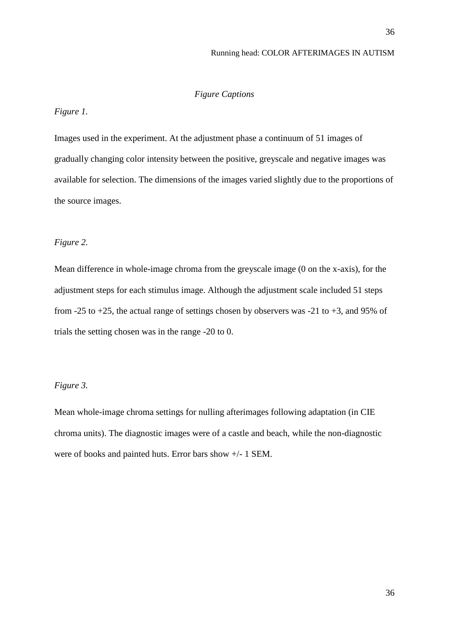# *Figure Captions*

# *Figure 1.*

Images used in the experiment. At the adjustment phase a continuum of 51 images of gradually changing color intensity between the positive, greyscale and negative images was available for selection. The dimensions of the images varied slightly due to the proportions of the source images.

# *Figure 2.*

Mean difference in whole-image chroma from the greyscale image (0 on the x-axis), for the adjustment steps for each stimulus image. Although the adjustment scale included 51 steps from -25 to +25, the actual range of settings chosen by observers was -21 to +3, and 95% of trials the setting chosen was in the range -20 to 0.

# *Figure 3.*

Mean whole-image chroma settings for nulling afterimages following adaptation (in CIE chroma units). The diagnostic images were of a castle and beach, while the non-diagnostic were of books and painted huts. Error bars show +/- 1 SEM.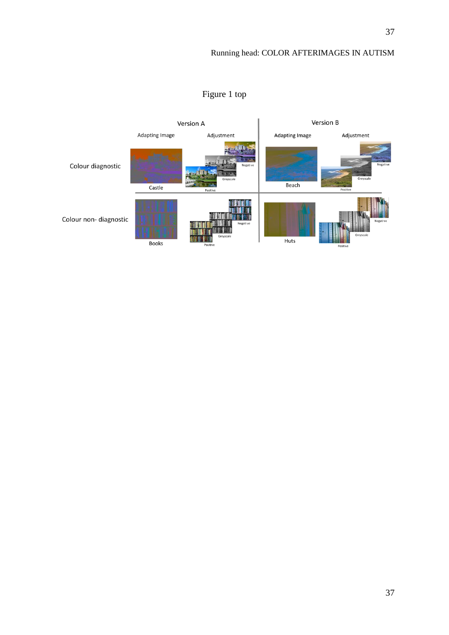

# Figure 1 top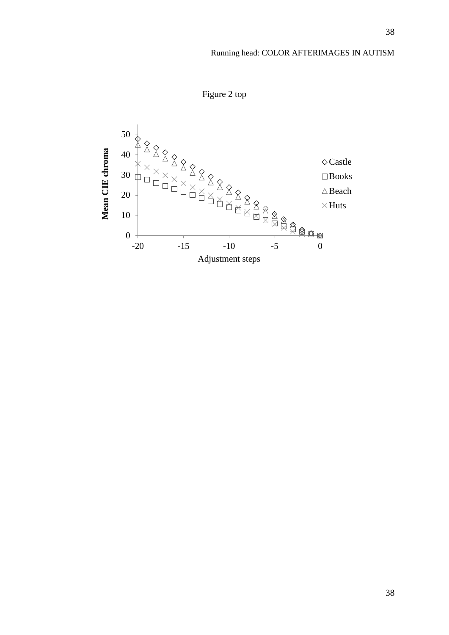Figure 2 top

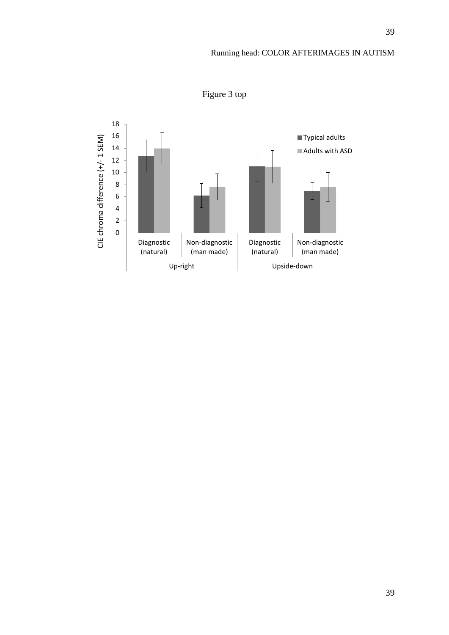

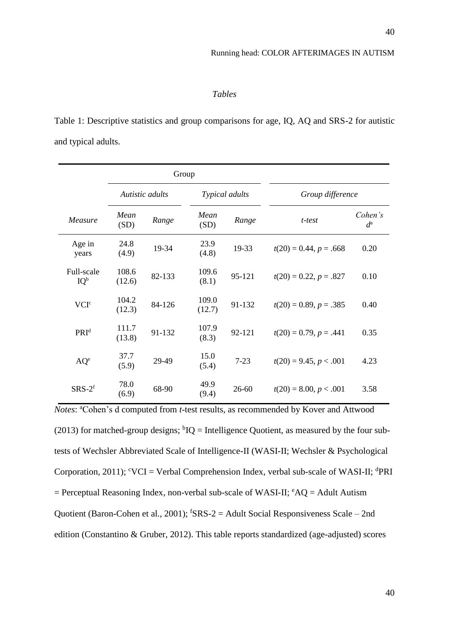# *Tables*

Table 1: Descriptive statistics and group comparisons for age, IQ, AQ and SRS-2 for autistic and typical adults.

|                      |                 |                 | Group           |                |                             |                        |
|----------------------|-----------------|-----------------|-----------------|----------------|-----------------------------|------------------------|
|                      |                 | Autistic adults |                 | Typical adults | Group difference            |                        |
| Measure              | Mean<br>(SD)    | Range           | Mean<br>(SD)    | Range          | t-test                      | Cohen's<br>$d^{\rm a}$ |
| Age in<br>years      | 24.8<br>(4.9)   | 19-34           | 23.9<br>(4.8)   | 19-33          | $t(20) = 0.44$ , $p = .668$ | 0.20                   |
| Full-scale<br>$IQ^b$ | 108.6<br>(12.6) | 82-133          | 109.6<br>(8.1)  | 95-121         | $t(20) = 0.22, p = .827$    | 0.10                   |
| VCI <sup>c</sup>     | 104.2<br>(12.3) | 84-126          | 109.0<br>(12.7) | 91-132         | $t(20) = 0.89, p = .385$    | 0.40                   |
| PRI <sup>d</sup>     | 111.7<br>(13.8) | 91-132          | 107.9<br>(8.3)  | 92-121         | $t(20) = 0.79$ , $p = .441$ | 0.35                   |
| $AQ^e$               | 37.7<br>(5.9)   | 29-49           | 15.0<br>(5.4)   | $7 - 23$       | $t(20) = 9.45, p < .001$    | 4.23                   |
| $SRS-2f$             | 78.0<br>(6.9)   | 68-90           | 49.9<br>(9.4)   | $26 - 60$      | $t(20) = 8.00, p < .001$    | 3.58                   |

*Notes*: <sup>a</sup>Cohen's d computed from *t*-test results, as recommended by Kover and Attwood (2013) for matched-group designs;  ${}^{\text{b}}\text{IQ}$  = Intelligence Quotient, as measured by the four subtests of Wechsler Abbreviated Scale of Intelligence-II (WASI-II; Wechsler & Psychological Corporation, 2011);  $\mathrm{VCI} = \mathrm{Verbal}$  Comprehension Index, verbal sub-scale of WASI-II;  $\mathrm{dPRI}$  $=$  Perceptual Reasoning Index, non-verbal sub-scale of WASI-II;  $^{\circ}AQ =$  Adult Autism Quotient (Baron-Cohen et al., 2001);  $f$ SRS-2 = Adult Social Responsiveness Scale – 2nd edition (Constantino & Gruber, 2012). This table reports standardized (age-adjusted) scores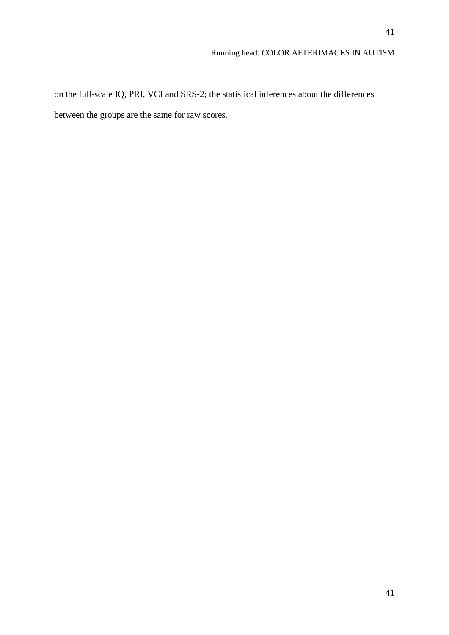on the full-scale IQ, PRI, VCI and SRS-2; the statistical inferences about the differences between the groups are the same for raw scores.